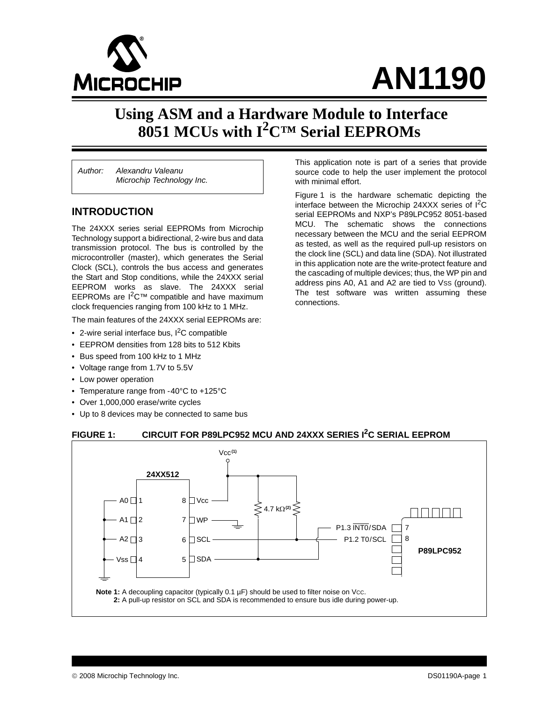

# **AN1190**

# **Using ASM and a Hardware Module to Interface 8051 MCUs with I<sup>2</sup>C™ Serial EEPROMs**

*Author: Alexandru Valeanu Microchip Technology Inc.*

#### **INTRODUCTION**

The 24XXX series serial EEPROMs from Microchip Technology support a bidirectional, 2-wire bus and data transmission protocol. The bus is controlled by the microcontroller (master), which generates the Serial Clock (SCL), controls the bus access and generates the Start and Stop conditions, while the 24XXX serial EEPROM works as slave. The 24XXX serial EEPROMs are  $1^2C™$  compatible and have maximum clock frequencies ranging from 100 kHz to 1 MHz.

The main features of the 24XXX serial EEPROMs are:

- 2-wire serial interface bus,  $I^2C$  compatible
- EEPROM densities from 128 bits to 512 Kbits
- Bus speed from 100 kHz to 1 MHz
- Voltage range from 1.7V to 5.5V
- Low power operation
- Temperature range from -40°C to +125°C
- Over 1,000,000 erase/write cycles
- Up to 8 devices may be connected to same bus

This application note is part of a series that provide source code to help the user implement the protocol with minimal effort.

[Figure 1](#page-0-0) is the hardware schematic depicting the interface between the Microchip 24XXX series of  $1^2C$ serial EEPROMs and NXP's P89LPC952 8051-based MCU. The schematic shows the connections necessary between the MCU and the serial EEPROM as tested, as well as the required pull-up resistors on the clock line (SCL) and data line (SDA). Not illustrated in this application note are the write-protect feature and the cascading of multiple devices; thus, the WP pin and address pins A0, A1 and A2 are tied to VSS (ground). The test software was written assuming these connections.

#### <span id="page-0-0"></span>**FIGURE 1: CIRCUIT FOR P89LPC952 MCU AND 24XXX SERIES I2C SERIAL EEPROM**

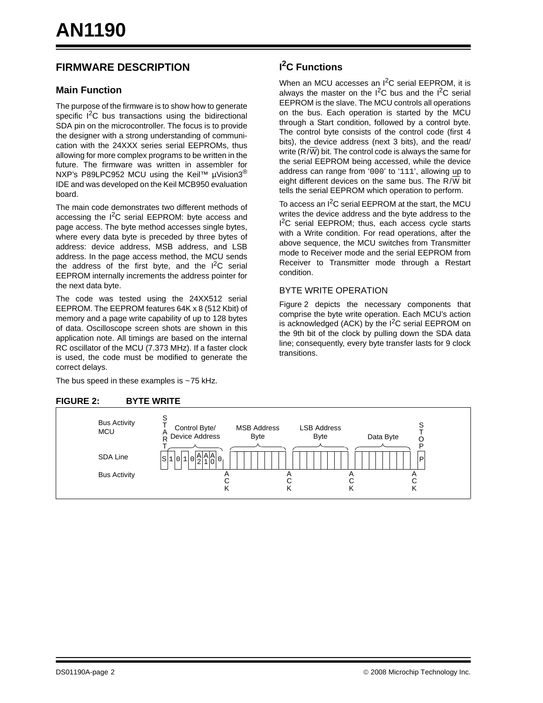# **FIRMWARE DESCRIPTION**

#### **Main Function**

The purpose of the firmware is to show how to generate specific  $1^2C$  bus transactions using the bidirectional SDA pin on the microcontroller. The focus is to provide the designer with a strong understanding of communication with the 24XXX series serial EEPROMs, thus allowing for more complex programs to be written in the future. The firmware was written in assembler for NXP's P89LPC952 MCU using the Keil™ µVision3<sup>®</sup> IDE and was developed on the Keil MCB950 evaluation board.

The main code demonstrates two different methods of accessing the  $I^2C$  serial EEPROM: byte access and page access. The byte method accesses single bytes, where every data byte is preceded by three bytes of address: device address, MSB address, and LSB address. In the page access method, the MCU sends the address of the first byte, and the  $I^2C$  serial EEPROM internally increments the address pointer for the next data byte.

The code was tested using the 24XX512 serial EEPROM. The EEPROM features 64K x 8 (512 Kbit) of memory and a page write capability of up to 128 bytes of data. Oscilloscope screen shots are shown in this application note. All timings are based on the internal RC oscillator of the MCU (7.373 MHz). If a faster clock is used, the code must be modified to generate the correct delays.

The bus speed in these examples is  $\sim$  75 kHz.

# **I 2C Functions**

When an MCU accesses an I<sup>2</sup>C serial EEPROM, it is always the master on the  $I^2C$  bus and the  $I^2C$  serial EEPROM is the slave. The MCU controls all operations on the bus. Each operation is started by the MCU through a Start condition, followed by a control byte. The control byte consists of the control code (first 4 bits), the device address (next 3 bits), and the read/ write  $(R/\overline{W})$  bit. The control code is always the same for the serial EEPROM being accessed, while the device address can range from '000' to '111', allowing up to eight different devices on the same bus. The  $R/\overline{W}$  bit tells the serial EEPROM which operation to perform.

To access an  $I^2C$  serial EEPROM at the start, the MCU writes the device address and the byte address to the I<sup>2</sup>C serial EEPROM; thus, each access cycle starts with a Write condition. For read operations, after the above sequence, the MCU switches from Transmitter mode to Receiver mode and the serial EEPROM from Receiver to Transmitter mode through a Restart condition.

#### BYTE WRITE OPERATION

[Figure 2](#page-1-0) depicts the necessary components that comprise the byte write operation. Each MCU's action is acknowledged (ACK) by the  $I^2C$  serial EEPROM on the 9th bit of the clock by pulling down the SDA data line; consequently, every byte transfer lasts for 9 clock transitions.

<span id="page-1-0"></span>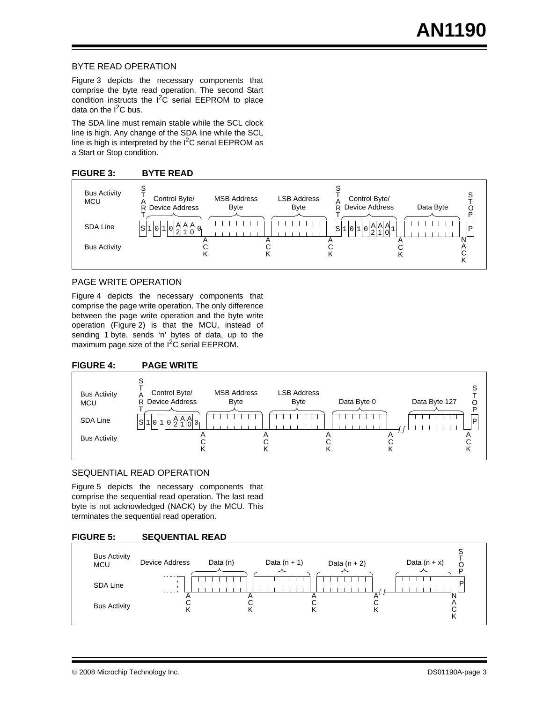#### BYTE READ OPERATION

[Figure 3](#page-2-0) depicts the necessary components that comprise the byte read operation. The second Start condition instructs the  $I^2C$  serial EEPROM to place data on the  $I^2C$  bus.

The SDA line must remain stable while the SCL clock line is high. Any change of the SDA line while the SCL line is high is interpreted by the  $I^2C$  serial EEPROM as a Start or Stop condition.

#### <span id="page-2-0"></span>**FIGURE 3: BYTE READ**



#### PAGE WRITE OPERATION

[Figure 4](#page-2-1) depicts the necessary components that comprise the page write operation. The only difference between the page write operation and the byte write operation [\(Figure 2\)](#page-1-0) is that the MCU, instead of sending 1 byte, sends 'n' bytes of data, up to the maximum page size of the I<sup>2</sup>C serial EEPROM.

#### <span id="page-2-1"></span>**FIGURE 4: PAGE WRITE**



#### SEQUENTIAL READ OPERATION

[Figure 5](#page-2-2) depicts the necessary components that comprise the sequential read operation. The last read byte is not acknowledged (NACK) by the MCU. This terminates the sequential read operation.

#### <span id="page-2-2"></span>**FIGURE 5: SEQUENTIAL READ**

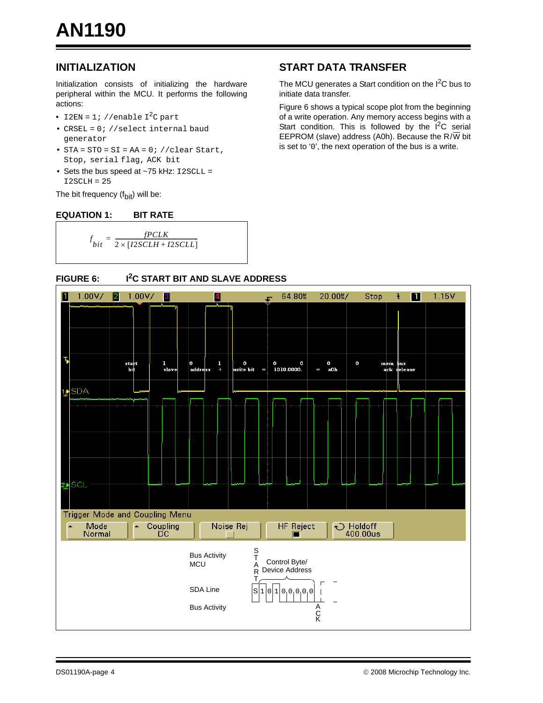# **INITIALIZATION**

Initialization consists of initializing the hardware peripheral within the MCU. It performs the following actions:

- I2EN = 1; //enable  $I^2C$  part
- CRSEL = 0; //select internal baud generator
- $STA = STO = SI = AA = 0; // clear Start,$ Stop, serial flag, ACK bit
- Sets the bus speed at  $\sim$ 75 kHz:  $12$ SCLL =  $I2SCLH = 25$

The bit frequency  $(f_{\text{bit}})$  will be:

#### **EQUATION 1: BIT RATE**

$$
f_{bit} = \frac{fPCLK}{2 \times [I2SCLH + I2SCLL]}
$$

# <span id="page-3-1"></span>**START DATA TRANSFER**

The MCU generates a Start condition on the  $I^2C$  bus to initiate data transfer.

[Figure 6](#page-3-0) shows a typical scope plot from the beginning of a write operation. Any memory access begins with a Start condition. This is followed by the  $I<sup>2</sup>C$  serial EEPROM (slave) address (A0h). Because the  $R/\overline{W}$  bit is set to '0', the next operation of the bus is a write.

<span id="page-3-0"></span>

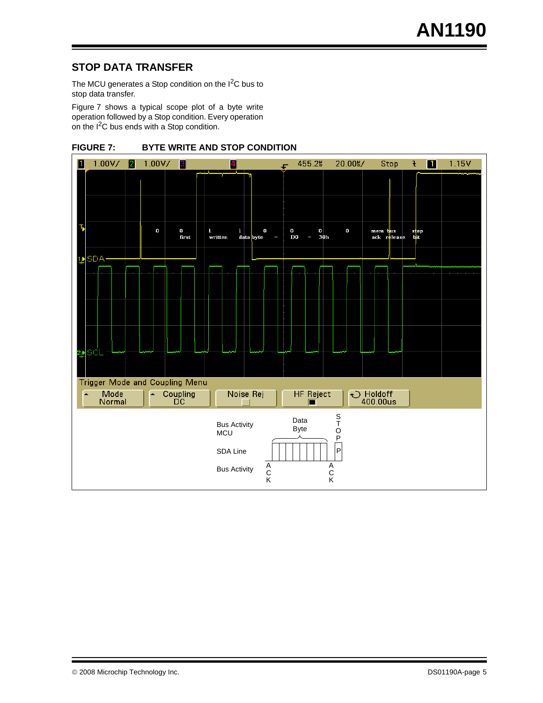# <span id="page-4-1"></span>**STOP DATA TRANSFER**

The MCU generates a Stop condition on the  $I<sup>2</sup>C$  bus to stop data transfer.

[Figure 7](#page-4-0) shows a typical scope plot of a byte write operation followed by a Stop condition. Every operation on the I<sup>2</sup>C bus ends with a Stop condition.

<span id="page-4-0"></span>

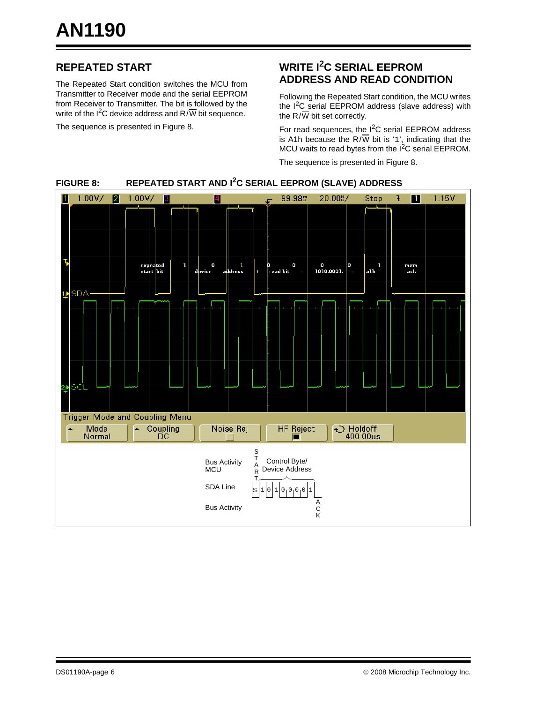# **REPEATED START**

The Repeated Start condition switches the MCU from Transmitter to Receiver mode and the serial EEPROM from Receiver to Transmitter. The bit is followed by the write of the  $1^2C$  device address and R/W bit sequence.

The sequence is presented in [Figure 8](#page-5-0).

# **WRITE I2C SERIAL EEPROM ADDRESS AND READ CONDITION**

Following the Repeated Start condition, the MCU writes the  $I<sup>2</sup>C$  serial EEPROM address (slave address) with the  $R/\overline{W}$  bit set correctly.

For read sequences, the I<sup>2</sup>C serial EEPROM address is A1h because the R/ $\overline{W}$  bit is '1', indicating that the MCU waits to read bytes from the I<sup>2</sup>C serial EEPROM.

The sequence is presented in [Figure 8](#page-5-0).



# <span id="page-5-0"></span>**FIGURE 8: REPEATED START AND I2C SERIAL EEPROM (SLAVE) ADDRESS**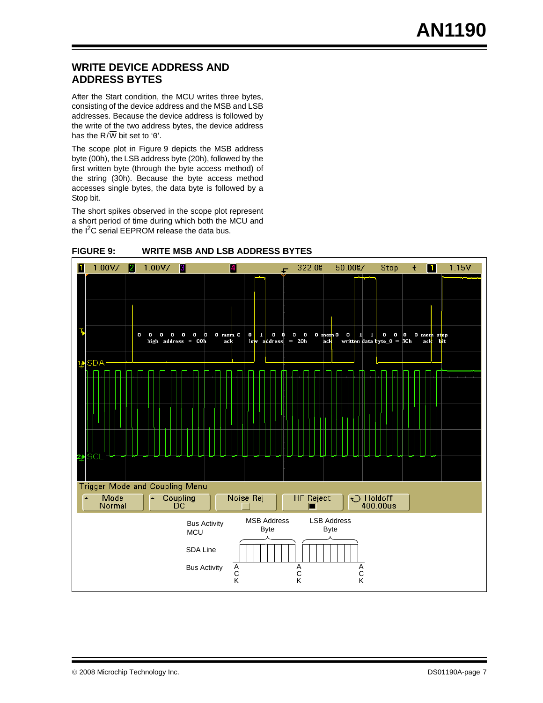# <span id="page-6-1"></span>**WRITE DEVICE ADDRESS AND ADDRESS BYTES**

After the Start condition, the MCU writes three bytes, consisting of the device address and the MSB and LSB addresses. Because the device address is followed by the write of the two address bytes, the device address has the  $R/\overline{W}$  bit set to '0'.

The scope plot in [Figure 9](#page-6-0) depicts the MSB address byte (00h), the LSB address byte (20h), followed by the first written byte (through the byte access method) of the string (30h). Because the byte access method accesses single bytes, the data byte is followed by a Stop bit.

The short spikes observed in the scope plot represent a short period of time during which both the MCU and the I<sup>2</sup>C serial EEPROM release the data bus.



#### <span id="page-6-0"></span>**FIGURE 9: WRITE MSB AND LSB ADDRESS BYTES**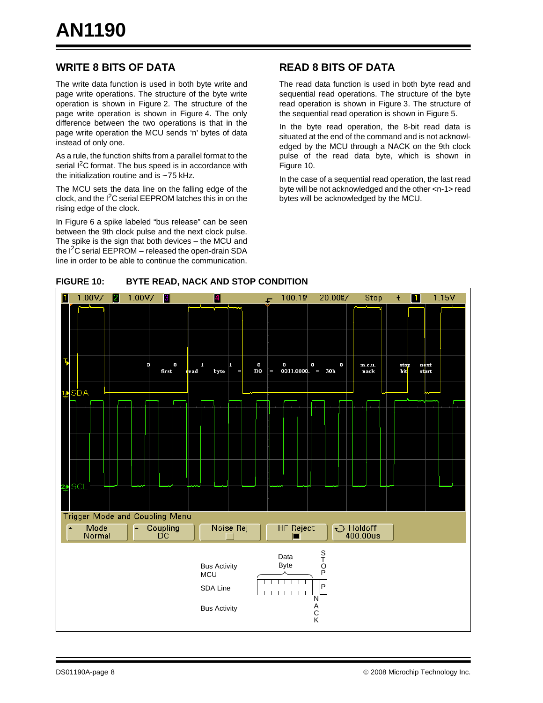# **WRITE 8 BITS OF DATA**

The write data function is used in both byte write and page write operations. The structure of the byte write operation is shown in [Figure 2](#page-1-0). The structure of the page write operation is shown in [Figure 4](#page-2-1). The only difference between the two operations is that in the page write operation the MCU sends 'n' bytes of data instead of only one.

As a rule, the function shifts from a parallel format to the serial  $1<sup>2</sup>C$  format. The bus speed is in accordance with the initialization routine and is  $\sim$  75 kHz.

The MCU sets the data line on the falling edge of the clock, and the  $I^2C$  serial EEPROM latches this in on the rising edge of the clock.

In [Figure 6](#page-3-0) a spike labeled "bus release" can be seen between the 9th clock pulse and the next clock pulse. The spike is the sign that both devices – the MCU and the  $I^2C$  serial EEPROM – released the open-drain SDA line in order to be able to continue the communication.

# **READ 8 BITS OF DATA**

The read data function is used in both byte read and sequential read operations. The structure of the byte read operation is shown in [Figure 3](#page-2-0). The structure of the sequential read operation is shown in [Figure 5.](#page-2-2)

In the byte read operation, the 8-bit read data is situated at the end of the command and is not acknowledged by the MCU through a NACK on the 9th clock pulse of the read data byte, which is shown in [Figure 10.](#page-7-0)

In the case of a sequential read operation, the last read byte will be not acknowledged and the other <n-1> read bytes will be acknowledged by the MCU.



<span id="page-7-0"></span>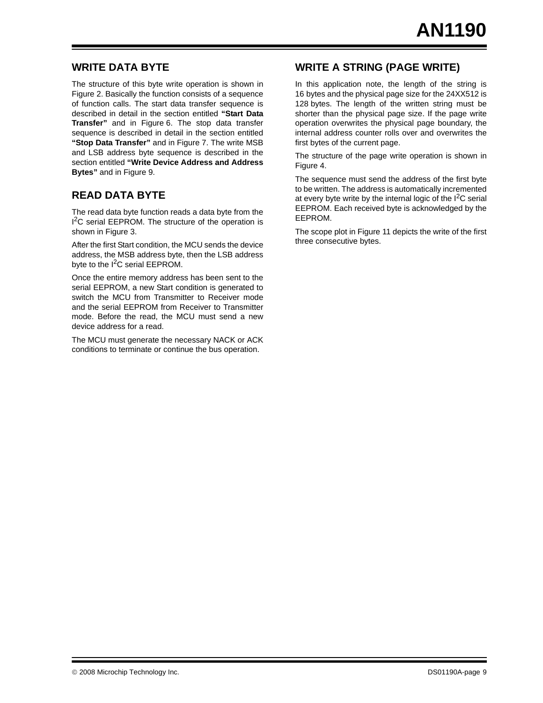# **WRITE DATA BYTE**

The structure of this byte write operation is shown in [Figure 2.](#page-1-0) Basically the function consists of a sequence of function calls. The start data transfer sequence is described in detail in the section entitled **["Start Data](#page-3-1) [Transfer"](#page-3-1)** and in [Figure 6](#page-3-0). The stop data transfer sequence is described in detail in the section entitled **["Stop Data Transfer"](#page-4-1)** and in [Figure 7.](#page-4-0) The write MSB and LSB address byte sequence is described in the section entitled **["Write Device Address and Address](#page-6-1) [Bytes"](#page-6-1)** and in [Figure 9](#page-6-0).

# **READ DATA BYTE**

The read data byte function reads a data byte from the <sup>2</sup>C serial EEPROM. The structure of the operation is shown in [Figure 3.](#page-2-0)

After the first Start condition, the MCU sends the device address, the MSB address byte, then the LSB address byte to the  $I^2C$  serial EEPROM.

Once the entire memory address has been sent to the serial EEPROM, a new Start condition is generated to switch the MCU from Transmitter to Receiver mode and the serial EEPROM from Receiver to Transmitter mode. Before the read, the MCU must send a new device address for a read.

The MCU must generate the necessary NACK or ACK conditions to terminate or continue the bus operation.

# **WRITE A STRING (PAGE WRITE)**

In this application note, the length of the string is 16 bytes and the physical page size for the 24XX512 is 128 bytes. The length of the written string must be shorter than the physical page size. If the page write operation overwrites the physical page boundary, the internal address counter rolls over and overwrites the first bytes of the current page.

The structure of the page write operation is shown in [Figure 4.](#page-2-1)

The sequence must send the address of the first byte to be written. The address is automatically incremented at every byte write by the internal logic of the  $1^2C$  serial EEPROM. Each received byte is acknowledged by the EEPROM.

The scope plot in [Figure 11](#page-9-0) depicts the write of the first three consecutive bytes.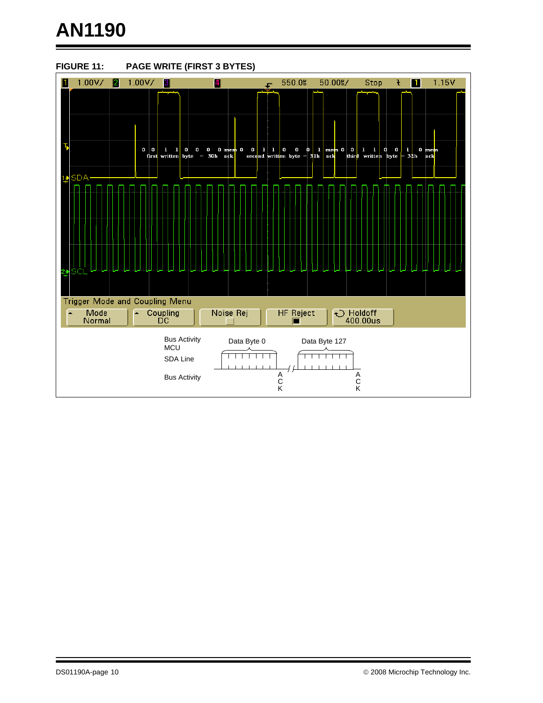# **AN1190**

<span id="page-9-0"></span>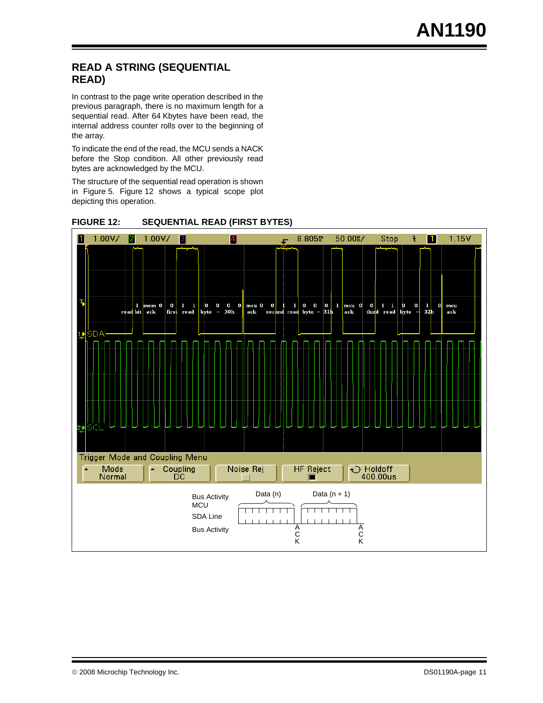# **READ A STRING (SEQUENTIAL READ)**

In contrast to the page write operation described in the previous paragraph, there is no maximum length for a sequential read. After 64 Kbytes have been read, the internal address counter rolls over to the beginning of the array.

To indicate the end of the read, the MCU sends a NACK before the Stop condition. All other previously read bytes are acknowledged by the MCU.

The structure of the sequential read operation is shown in [Figure 5.](#page-2-2) [Figure 12](#page-10-0) shows a typical scope plot depicting this operation.



<span id="page-10-0"></span>**FIGURE 12: SEQUENTIAL READ (FIRST BYTES)**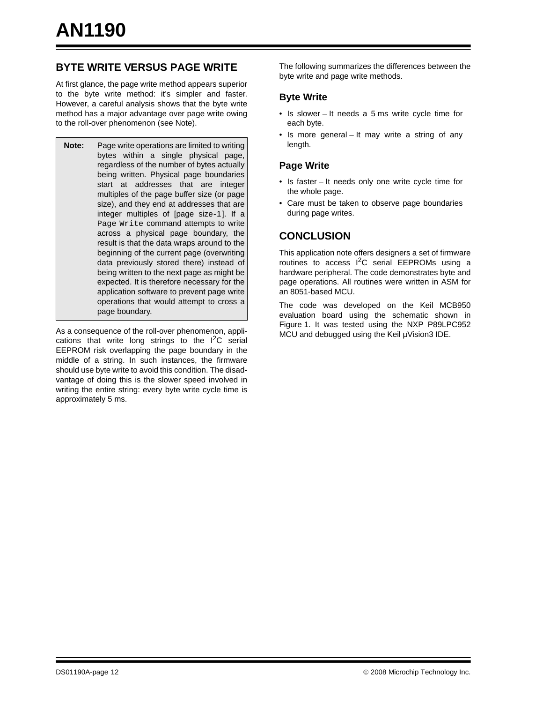# **BYTE WRITE VERSUS PAGE WRITE**

At first glance, the page write method appears superior to the byte write method: it's simpler and faster. However, a careful analysis shows that the byte write method has a major advantage over page write owing to the roll-over phenomenon (see Note).

**Note:** Page write operations are limited to writing bytes within a single physical page, regardless of the number of bytes actually being written. Physical page boundaries start at addresses that are integer multiples of the page buffer size (or page size), and they end at addresses that are integer multiples of [page size-1]. If a Page Write command attempts to write across a physical page boundary, the result is that the data wraps around to the beginning of the current page (overwriting data previously stored there) instead of being written to the next page as might be expected. It is therefore necessary for the application software to prevent page write operations that would attempt to cross a page boundary.

As a consequence of the roll-over phenomenon, applications that write long strings to the  $I^2C$  serial EEPROM risk overlapping the page boundary in the middle of a string. In such instances, the firmware should use byte write to avoid this condition. The disadvantage of doing this is the slower speed involved in writing the entire string: every byte write cycle time is approximately 5 ms.

The following summarizes the differences between the byte write and page write methods.

#### **Byte Write**

- Is slower It needs a 5 ms write cycle time for each byte.
- Is more general It may write a string of any length.

#### **Page Write**

- Is faster It needs only one write cycle time for the whole page.
- Care must be taken to observe page boundaries during page writes.

# **CONCLUSION**

This application note offers designers a set of firmware routines to access  $I^2C$  serial EEPROMs using a hardware peripheral. The code demonstrates byte and page operations. All routines were written in ASM for an 8051-based MCU.

The code was developed on the Keil MCB950 evaluation board using the schematic shown in [Figure 1.](#page-0-0) It was tested using the NXP P89LPC952 MCU and debugged using the Keil µVision3 IDE.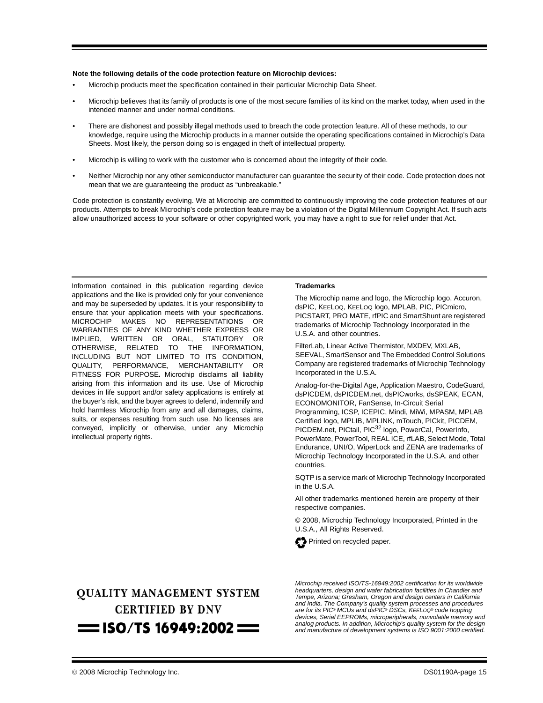#### **Note the following details of the code protection feature on Microchip devices:**

- Microchip products meet the specification contained in their particular Microchip Data Sheet.
- Microchip believes that its family of products is one of the most secure families of its kind on the market today, when used in the intended manner and under normal conditions.
- There are dishonest and possibly illegal methods used to breach the code protection feature. All of these methods, to our knowledge, require using the Microchip products in a manner outside the operating specifications contained in Microchip's Data Sheets. Most likely, the person doing so is engaged in theft of intellectual property.
- Microchip is willing to work with the customer who is concerned about the integrity of their code.
- Neither Microchip nor any other semiconductor manufacturer can guarantee the security of their code. Code protection does not mean that we are guaranteeing the product as "unbreakable."

Code protection is constantly evolving. We at Microchip are committed to continuously improving the code protection features of our products. Attempts to break Microchip's code protection feature may be a violation of the Digital Millennium Copyright Act. If such acts allow unauthorized access to your software or other copyrighted work, you may have a right to sue for relief under that Act.

Information contained in this publication regarding device applications and the like is provided only for your convenience and may be superseded by updates. It is your responsibility to ensure that your application meets with your specifications. MICROCHIP MAKES NO REPRESENTATIONS OR WARRANTIES OF ANY KIND WHETHER EXPRESS OR IMPLIED, WRITTEN OR ORAL, STATUTORY OR OTHERWISE, RELATED TO THE INFORMATION, INCLUDING BUT NOT LIMITED TO ITS CONDITION, QUALITY, PERFORMANCE, MERCHANTABILITY OR FITNESS FOR PURPOSE**.** Microchip disclaims all liability arising from this information and its use. Use of Microchip devices in life support and/or safety applications is entirely at the buyer's risk, and the buyer agrees to defend, indemnify and hold harmless Microchip from any and all damages, claims, suits, or expenses resulting from such use. No licenses are conveyed, implicitly or otherwise, under any Microchip intellectual property rights.

#### **Trademarks**

The Microchip name and logo, the Microchip logo, Accuron, dsPIC, KEELOQ, KEELOQ logo, MPLAB, PIC, PICmicro, PICSTART, PRO MATE, rfPIC and SmartShunt are registered trademarks of Microchip Technology Incorporated in the U.S.A. and other countries.

FilterLab, Linear Active Thermistor, MXDEV, MXLAB, SEEVAL, SmartSensor and The Embedded Control Solutions Company are registered trademarks of Microchip Technology Incorporated in the U.S.A.

Analog-for-the-Digital Age, Application Maestro, CodeGuard, dsPICDEM, dsPICDEM.net, dsPICworks, dsSPEAK, ECAN, ECONOMONITOR, FanSense, In-Circuit Serial Programming, ICSP, ICEPIC, Mindi, MiWi, MPASM, MPLAB Certified logo, MPLIB, MPLINK, mTouch, PICkit, PICDEM, PICDEM.net, PICtail, PIC<sup>32</sup> logo, PowerCal, PowerInfo, PowerMate, PowerTool, REAL ICE, rfLAB, Select Mode, Total Endurance, UNI/O, WiperLock and ZENA are trademarks of Microchip Technology Incorporated in the U.S.A. and other countries.

SQTP is a service mark of Microchip Technology Incorporated in the U.S.A.

All other trademarks mentioned herein are property of their respective companies.

© 2008, Microchip Technology Incorporated, Printed in the U.S.A., All Rights Reserved.



# **OUALITY MANAGEMENT SYSTEM CERTIFIED BY DNV**  $=$  ISO/TS 16949:2002  $=$

*Microchip received ISO/TS-16949:2002 certification for its worldwide headquarters, design and wafer fabrication facilities in Chandler and Tempe, Arizona; Gresham, Oregon and design centers in California and India. The Company's quality system processes and procedures are for its PIC® MCUs and dsPIC® DSCs, KEELOQ® code hopping devices, Serial EEPROMs, microperipherals, nonvolatile memory and analog products. In addition, Microchip's quality system for the design and manufacture of development systems is ISO 9001:2000 certified.*